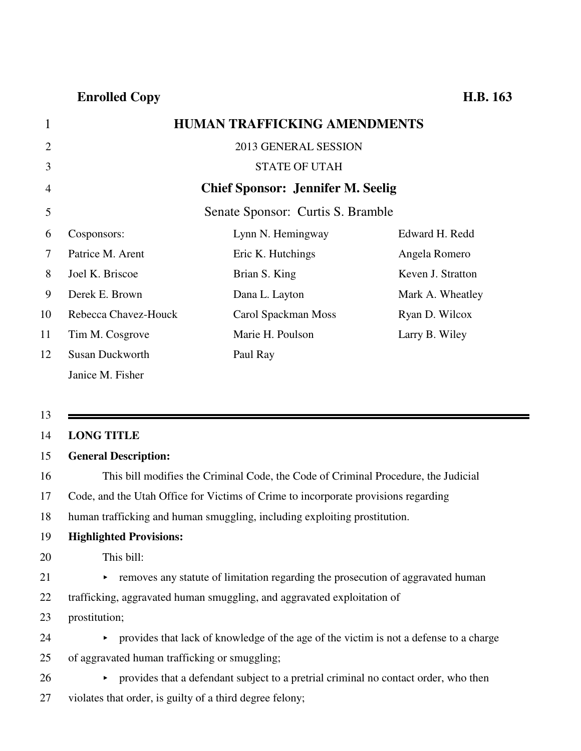## 1 **HUMAN TRAFFICKING AMENDMENTS**

| $\overline{2}$ |                        | 2013 GENERAL SESSION                     |                   |
|----------------|------------------------|------------------------------------------|-------------------|
| 3              |                        | <b>STATE OF UTAH</b>                     |                   |
| 4              |                        | <b>Chief Sponsor: Jennifer M. Seelig</b> |                   |
| 5              |                        | Senate Sponsor: Curtis S. Bramble        |                   |
| 6              | Cosponsors:            | Lynn N. Hemingway                        | Edward H. Redd    |
| $\tau$         | Patrice M. Arent       | Eric K. Hutchings                        | Angela Romero     |
| 8              | Joel K. Briscoe        | Brian S. King                            | Keven J. Stratton |
| 9              | Derek E. Brown         | Dana L. Layton                           | Mark A. Wheatley  |
| 10             | Rebecca Chavez-Houck   | Carol Spackman Moss                      | Ryan D. Wilcox    |
| 11             | Tim M. Cosgrove        | Marie H. Poulson                         | Larry B. Wiley    |
| 12             | <b>Susan Duckworth</b> | Paul Ray                                 |                   |
|                | Janice M. Fisher       |                                          |                   |

13

### 14 **LONG TITLE**

### 15 **General Description:**

16 This bill modifies the Criminal Code, the Code of Criminal Procedure, the Judicial

17 Code, and the Utah Office for Victims of Crime to incorporate provisions regarding

18 human trafficking and human smuggling, including exploiting prostitution.

### 19 **Highlighted Provisions:**

### 20 This bill:

- $21$   $\rightarrow$  removes any statute of limitation regarding the prosecution of aggravated human
- 22 trafficking, aggravated human smuggling, and aggravated exploitation of
- 23 prostitution;
- 24 provides that lack of knowledge of the age of the victim is not a defense to a charge
- 25 of aggravated human trafficking or smuggling;
- 26 provides that a defendant subject to a pretrial criminal no contact order, who then
- 27 violates that order, is guilty of a third degree felony;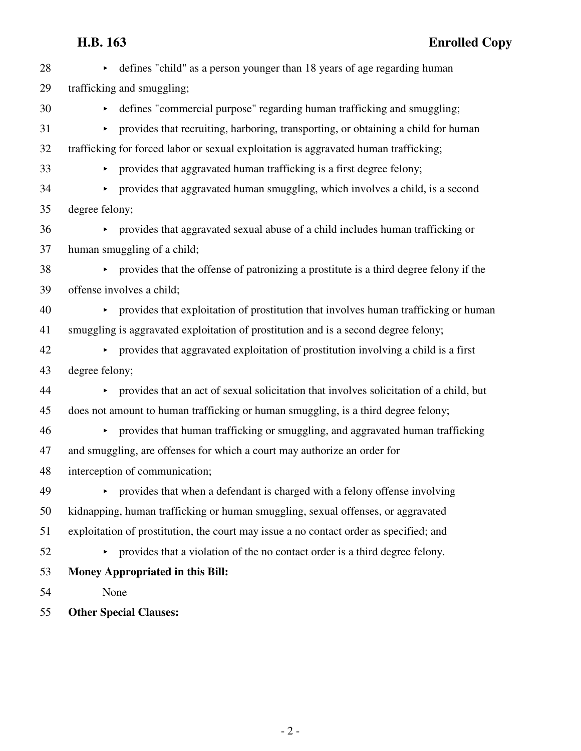| 28 | • defines "child" as a person younger than 18 years of age regarding human               |
|----|------------------------------------------------------------------------------------------|
| 29 | trafficking and smuggling;                                                               |
| 30 | • defines "commercial purpose" regarding human trafficking and smuggling;                |
| 31 | • provides that recruiting, harboring, transporting, or obtaining a child for human      |
| 32 | trafficking for forced labor or sexual exploitation is aggravated human trafficking;     |
| 33 | • provides that aggravated human trafficking is a first degree felony;                   |
| 34 | • provides that aggravated human smuggling, which involves a child, is a second          |
| 35 | degree felony;                                                                           |
| 36 | • provides that aggravated sexual abuse of a child includes human trafficking or         |
| 37 | human smuggling of a child;                                                              |
| 38 | • provides that the offense of patronizing a prostitute is a third degree felony if the  |
| 39 | offense involves a child;                                                                |
| 40 | • provides that exploitation of prostitution that involves human trafficking or human    |
| 41 | smuggling is aggravated exploitation of prostitution and is a second degree felony;      |
| 42 | • provides that aggravated exploitation of prostitution involving a child is a first     |
| 43 | degree felony;                                                                           |
| 44 | • provides that an act of sexual solicitation that involves solicitation of a child, but |
| 45 | does not amount to human trafficking or human smuggling, is a third degree felony;       |
| 46 | • provides that human trafficking or smuggling, and aggravated human trafficking         |
| 47 | and smuggling, are offenses for which a court may authorize an order for                 |
| 48 | interception of communication;                                                           |
| 49 | provides that when a defendant is charged with a felony offense involving                |
| 50 | kidnapping, human trafficking or human smuggling, sexual offenses, or aggravated         |
| 51 | exploitation of prostitution, the court may issue a no contact order as specified; and   |
| 52 | provides that a violation of the no contact order is a third degree felony.              |
| 53 | <b>Money Appropriated in this Bill:</b>                                                  |
| 54 | None                                                                                     |
|    |                                                                                          |

55 **Other Special Clauses:**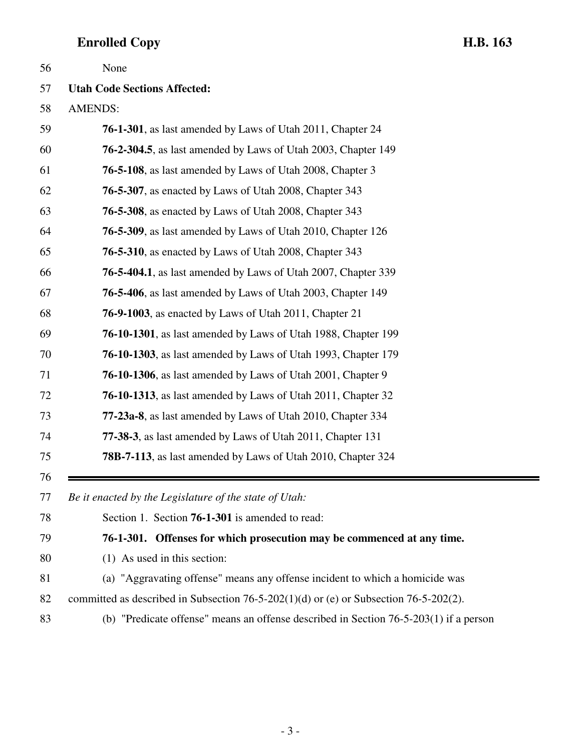| 56 | None                                                                                    |
|----|-----------------------------------------------------------------------------------------|
| 57 | <b>Utah Code Sections Affected:</b>                                                     |
| 58 | <b>AMENDS:</b>                                                                          |
| 59 | <b>76-1-301</b> , as last amended by Laws of Utah 2011, Chapter 24                      |
| 60 | <b>76-2-304.5</b> , as last amended by Laws of Utah 2003, Chapter 149                   |
| 61 | <b>76-5-108</b> , as last amended by Laws of Utah 2008, Chapter 3                       |
| 62 | <b>76-5-307</b> , as enacted by Laws of Utah 2008, Chapter 343                          |
| 63 | <b>76-5-308</b> , as enacted by Laws of Utah 2008, Chapter 343                          |
| 64 | <b>76-5-309</b> , as last amended by Laws of Utah 2010, Chapter 126                     |
| 65 | <b>76-5-310</b> , as enacted by Laws of Utah 2008, Chapter 343                          |
| 66 | <b>76-5-404.1</b> , as last amended by Laws of Utah 2007, Chapter 339                   |
| 67 | 76-5-406, as last amended by Laws of Utah 2003, Chapter 149                             |
| 68 | <b>76-9-1003</b> , as enacted by Laws of Utah 2011, Chapter 21                          |
| 69 | 76-10-1301, as last amended by Laws of Utah 1988, Chapter 199                           |
| 70 | <b>76-10-1303</b> , as last amended by Laws of Utah 1993, Chapter 179                   |
| 71 | <b>76-10-1306</b> , as last amended by Laws of Utah 2001, Chapter 9                     |
| 72 | <b>76-10-1313</b> , as last amended by Laws of Utah 2011, Chapter 32                    |
| 73 | 77-23a-8, as last amended by Laws of Utah 2010, Chapter 334                             |
| 74 | 77-38-3, as last amended by Laws of Utah 2011, Chapter 131                              |
| 75 | <b>78B-7-113</b> , as last amended by Laws of Utah 2010, Chapter 324                    |
| 76 |                                                                                         |
| 77 | Be it enacted by the Legislature of the state of Utah:                                  |
| 78 | Section 1. Section <b>76-1-301</b> is amended to read:                                  |
| 79 | 76-1-301. Offenses for which prosecution may be commenced at any time.                  |
| 80 | $(1)$ As used in this section:                                                          |
| 81 | (a) "Aggravating offense" means any offense incident to which a homicide was            |
| 82 | committed as described in Subsection 76-5-202(1)(d) or (e) or Subsection 76-5-202(2).   |
| 83 | (b) "Predicate offense" means an offense described in Section $76-5-203(1)$ if a person |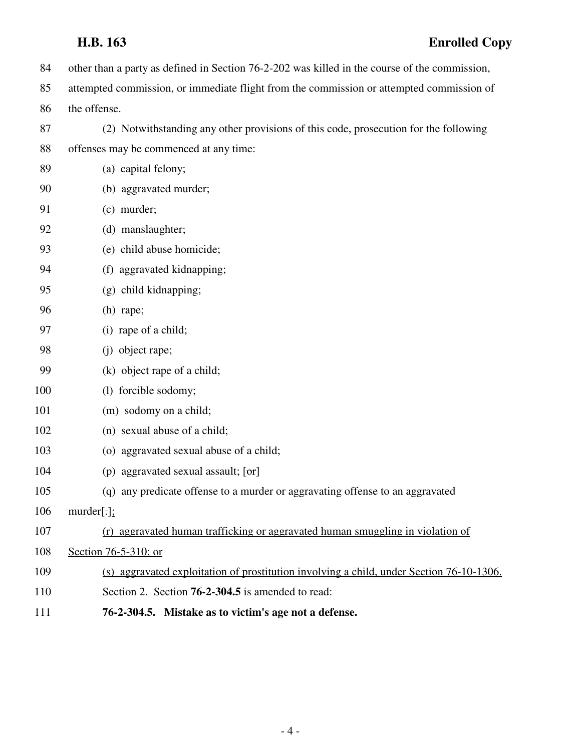84 other than a party as defined in Section 76-2-202 was killed in the course of the commission, 85 attempted commission, or immediate flight from the commission or attempted commission of 86 the offense. 87 (2) Notwithstanding any other provisions of this code, prosecution for the following 88 offenses may be commenced at any time: 89 (a) capital felony; 90 (b) aggravated murder; 91 (c) murder; 92 (d) manslaughter; 93 (e) child abuse homicide; 94 (f) aggravated kidnapping; 95 (g) child kidnapping; 96 (h) rape; 97 (i) rape of a child; 98 (j) object rape; 99 (k) object rape of a child; 100 (l) forcible sodomy; 101 (m) sodomy on a child; 102 (n) sexual abuse of a child; 103 (o) aggravated sexual abuse of a child; 104 (p) aggravated sexual assault;  $[\sigma r]$ 105 (q) any predicate offense to a murder or aggravating offense to an aggravated 106 murder[.]; 107 (r) aggravated human trafficking or aggravated human smuggling in violation of 108 Section 76-5-310; or 109 (s) aggravated exploitation of prostitution involving a child, under Section 76-10-1306. 110 Section 2. Section **76-2-304.5** is amended to read: 111 **76-2-304.5. Mistake as to victim's age not a defense.**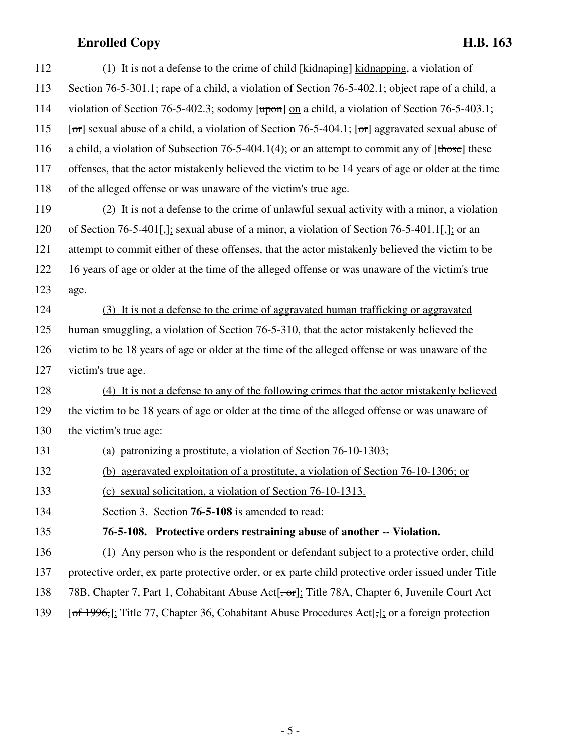| 112 | (1) It is not a defense to the crime of child [ $\overline{kidnaping}$ ] $\overline{kidnapping}$ , a violation of  |
|-----|--------------------------------------------------------------------------------------------------------------------|
| 113 | Section 76-5-301.1; rape of a child, a violation of Section 76-5-402.1; object rape of a child, a                  |
| 114 | violation of Section 76-5-402.3; sodomy $[\overline{upon}]$ on a child, a violation of Section 76-5-403.1;         |
| 115 | [ $\sigma$ r] sexual abuse of a child, a violation of Section 76-5-404.1; [ $\sigma$ r] aggravated sexual abuse of |
| 116 | a child, a violation of Subsection 76-5-404.1(4); or an attempt to commit any of $[\text{those}]$ these            |
| 117 | offenses, that the actor mistakenly believed the victim to be 14 years of age or older at the time                 |
| 118 | of the alleged offense or was unaware of the victim's true age.                                                    |
| 119 | (2) It is not a defense to the crime of unlawful sexual activity with a minor, a violation                         |
| 120 | of Section 76-5-401[,]; sexual abuse of a minor, a violation of Section 76-5-401.1[,]; or an                       |
| 121 | attempt to commit either of these offenses, that the actor mistakenly believed the victim to be                    |
| 122 | 16 years of age or older at the time of the alleged offense or was unaware of the victim's true                    |
| 123 | age.                                                                                                               |
| 124 | (3) It is not a defense to the crime of aggravated human trafficking or aggravated                                 |
| 125 | human smuggling, a violation of Section 76-5-310, that the actor mistakenly believed the                           |
| 126 | victim to be 18 years of age or older at the time of the alleged offense or was unaware of the                     |
| 127 | victim's true age.                                                                                                 |
| 128 | (4) It is not a defense to any of the following crimes that the actor mistakenly believed                          |
| 129 | the victim to be 18 years of age or older at the time of the alleged offense or was unaware of                     |
| 130 | the victim's true age:                                                                                             |
| 131 | (a) patronizing a prostitute, a violation of Section 76-10-1303;                                                   |
| 132 | (b) aggravated exploitation of a prostitute, a violation of Section 76-10-1306; or                                 |
| 133 | (c) sexual solicitation, a violation of Section 76-10-1313.                                                        |
| 134 | Section 3. Section 76-5-108 is amended to read:                                                                    |
| 135 | 76-5-108. Protective orders restraining abuse of another -- Violation.                                             |
| 136 | (1) Any person who is the respondent or defendant subject to a protective order, child                             |
| 137 | protective order, ex parte protective order, or ex parte child protective order issued under Title                 |
| 138 | 78B, Chapter 7, Part 1, Cohabitant Abuse Act[ <del>, or</del> ]; Title 78A, Chapter 6, Juvenile Court Act          |
| 139 | [of 1996,]; Title 77, Chapter 36, Cohabitant Abuse Procedures Act <sup>[-</sup> ,]; or a foreign protection        |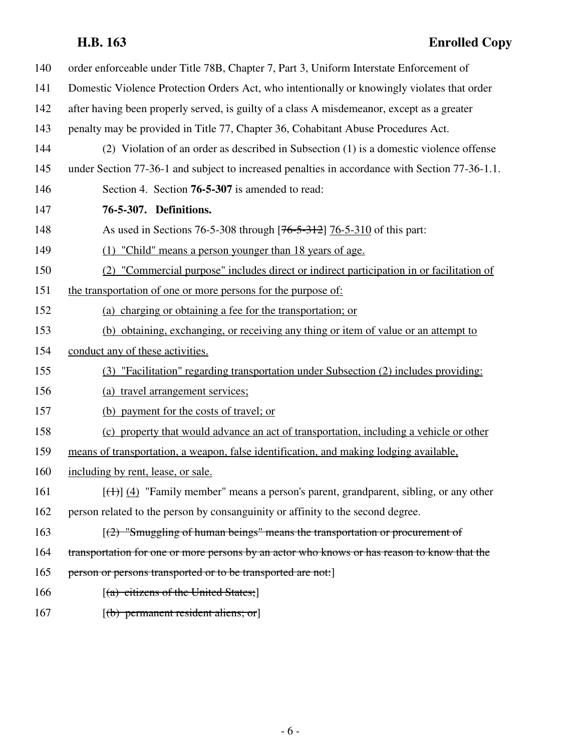| 140 | order enforceable under Title 78B, Chapter 7, Part 3, Uniform Interstate Enforcement of        |
|-----|------------------------------------------------------------------------------------------------|
| 141 | Domestic Violence Protection Orders Act, who intentionally or knowingly violates that order    |
| 142 | after having been properly served, is guilty of a class A misdemeanor, except as a greater     |
| 143 | penalty may be provided in Title 77, Chapter 36, Cohabitant Abuse Procedures Act.              |
| 144 | (2) Violation of an order as described in Subsection (1) is a domestic violence offense        |
| 145 | under Section 77-36-1 and subject to increased penalties in accordance with Section 77-36-1.1. |
| 146 | Section 4. Section 76-5-307 is amended to read:                                                |
| 147 | 76-5-307. Definitions.                                                                         |
| 148 | As used in Sections 76-5-308 through [76-5-312] 76-5-310 of this part:                         |
| 149 | (1) "Child" means a person younger than 18 years of age.                                       |
| 150 | (2) "Commercial purpose" includes direct or indirect participation in or facilitation of       |
| 151 | the transportation of one or more persons for the purpose of:                                  |
| 152 | (a) charging or obtaining a fee for the transportation; or                                     |
| 153 | (b) obtaining, exchanging, or receiving any thing or item of value or an attempt to            |
| 154 | conduct any of these activities.                                                               |
| 155 | (3) "Facilitation" regarding transportation under Subsection (2) includes providing:           |
| 156 | (a) travel arrangement services;                                                               |
| 157 | (b) payment for the costs of travel; or                                                        |
| 158 | (c) property that would advance an act of transportation, including a vehicle or other         |
| 159 | means of transportation, a weapon, false identification, and making lodging available,         |
| 160 | including by rent, lease, or sale.                                                             |
| 161 | $[\text{(+)}]$ (4) "Family member" means a person's parent, grandparent, sibling, or any other |
| 162 | person related to the person by consanguinity or affinity to the second degree.                |
| 163 | $(2)$ "Smuggling of human beings" means the transportation or procurement of                   |
| 164 | transportation for one or more persons by an actor who knows or has reason to know that the    |
| 165 | person or persons transported or to be transported are not:                                    |
| 166 | $[(a)$ citizens of the United States;                                                          |
| 167 | $[(b)$ permanent resident aliens; or                                                           |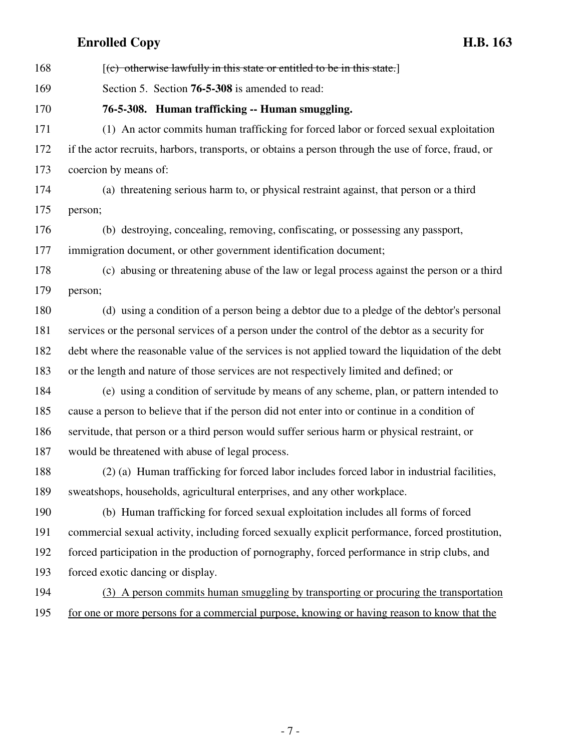168  $[(e)$  otherwise lawfully in this state or entitled to be in this state. 169 Section 5. Section **76-5-308** is amended to read: 170 **76-5-308. Human trafficking -- Human smuggling.** 171 (1) An actor commits human trafficking for forced labor or forced sexual exploitation 172 if the actor recruits, harbors, transports, or obtains a person through the use of force, fraud, or 173 coercion by means of: 174 (a) threatening serious harm to, or physical restraint against, that person or a third 175 person; 176 (b) destroying, concealing, removing, confiscating, or possessing any passport, 177 immigration document, or other government identification document; 178 (c) abusing or threatening abuse of the law or legal process against the person or a third 179 person; 180 (d) using a condition of a person being a debtor due to a pledge of the debtor's personal 181 services or the personal services of a person under the control of the debtor as a security for 182 debt where the reasonable value of the services is not applied toward the liquidation of the debt 183 or the length and nature of those services are not respectively limited and defined; or 184 (e) using a condition of servitude by means of any scheme, plan, or pattern intended to 185 cause a person to believe that if the person did not enter into or continue in a condition of 186 servitude, that person or a third person would suffer serious harm or physical restraint, or 187 would be threatened with abuse of legal process. 188 (2) (a) Human trafficking for forced labor includes forced labor in industrial facilities, 189 sweatshops, households, agricultural enterprises, and any other workplace. 190 (b) Human trafficking for forced sexual exploitation includes all forms of forced 191 commercial sexual activity, including forced sexually explicit performance, forced prostitution, 192 forced participation in the production of pornography, forced performance in strip clubs, and 193 forced exotic dancing or display. 194 (3) A person commits human smuggling by transporting or procuring the transportation 195 for one or more persons for a commercial purpose, knowing or having reason to know that the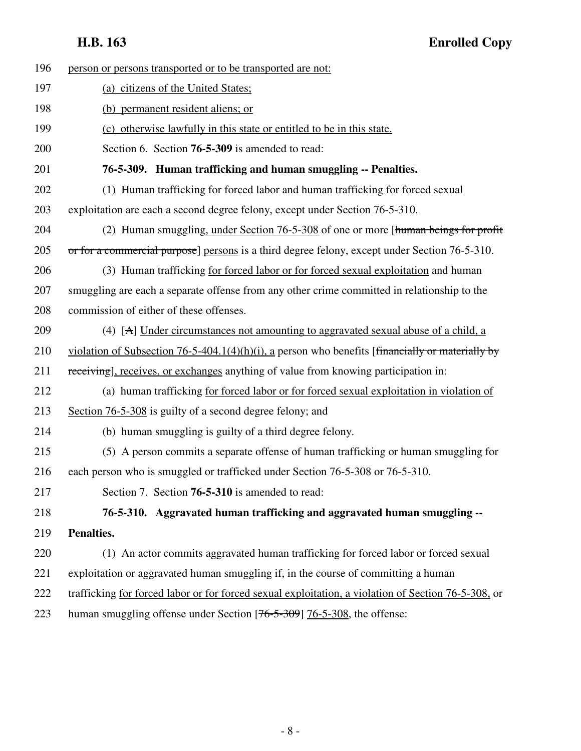| 196 | person or persons transported or to be transported are not:                                         |
|-----|-----------------------------------------------------------------------------------------------------|
| 197 | (a) citizens of the United States;                                                                  |
| 198 | (b) permanent resident aliens; or                                                                   |
| 199 | (c) otherwise lawfully in this state or entitled to be in this state.                               |
| 200 | Section 6. Section <b>76-5-309</b> is amended to read:                                              |
| 201 | 76-5-309. Human trafficking and human smuggling -- Penalties.                                       |
| 202 | (1) Human trafficking for forced labor and human trafficking for forced sexual                      |
| 203 | exploitation are each a second degree felony, except under Section 76-5-310.                        |
| 204 | (2) Human smuggling, under Section 76-5-308 of one or more [human beings for profit                 |
| 205 | or for a commercial purpose] persons is a third degree felony, except under Section 76-5-310.       |
| 206 | (3) Human trafficking for forced labor or for forced sexual exploitation and human                  |
| 207 | smuggling are each a separate offense from any other crime committed in relationship to the         |
| 208 | commission of either of these offenses.                                                             |
| 209 | (4) [A] Under circumstances not amounting to aggravated sexual abuse of a child, a                  |
| 210 | violation of Subsection 76-5-404.1(4)(h)(i), a person who benefits [financially or materially by    |
| 211 | receiving], receives, or exchanges anything of value from knowing participation in:                 |
| 212 | (a) human trafficking for forced labor or for forced sexual exploitation in violation of            |
| 213 | Section 76-5-308 is guilty of a second degree felony; and                                           |
| 214 | (b) human smuggling is guilty of a third degree felony.                                             |
| 215 | (5) A person commits a separate offense of human trafficking or human smuggling for                 |
| 216 | each person who is smuggled or trafficked under Section 76-5-308 or 76-5-310.                       |
| 217 | Section 7. Section 76-5-310 is amended to read:                                                     |
| 218 | 76-5-310. Aggravated human trafficking and aggravated human smuggling --                            |
| 219 | Penalties.                                                                                          |
| 220 | (1) An actor commits aggravated human trafficking for forced labor or forced sexual                 |
| 221 | exploitation or aggravated human smuggling if, in the course of committing a human                  |
| 222 | trafficking for forced labor or for forced sexual exploitation, a violation of Section 76-5-308, or |
| 223 | human smuggling offense under Section [76-5-309] 76-5-308, the offense:                             |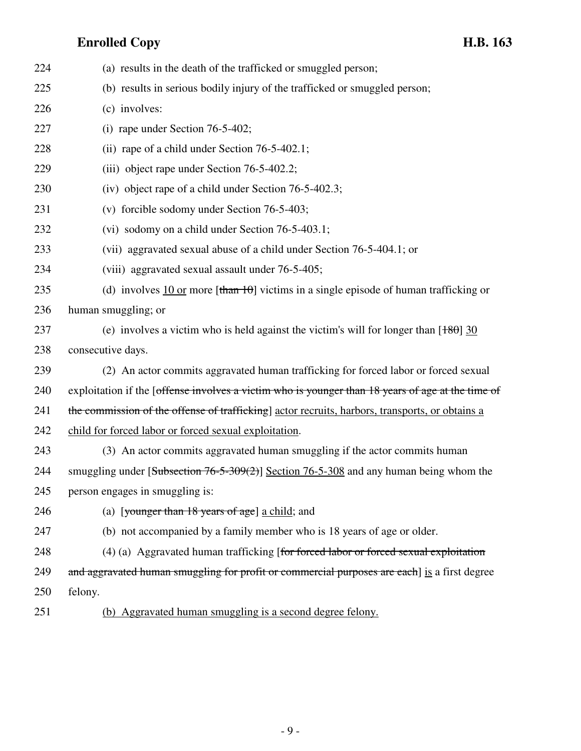| 224 | (a) results in the death of the trafficked or smuggled person;                                                                               |
|-----|----------------------------------------------------------------------------------------------------------------------------------------------|
| 225 | (b) results in serious bodily injury of the trafficked or smuggled person;                                                                   |
| 226 | (c) involves:                                                                                                                                |
| 227 | (i) rape under Section $76-5-402$ ;                                                                                                          |
| 228 | (ii) rape of a child under Section $76-5-402.1$ ;                                                                                            |
| 229 | (iii) object rape under Section 76-5-402.2;                                                                                                  |
| 230 | (iv) object rape of a child under Section 76-5-402.3;                                                                                        |
| 231 | (v) forcible sodomy under Section 76-5-403;                                                                                                  |
| 232 | (vi) sodomy on a child under Section 76-5-403.1;                                                                                             |
| 233 | (vii) aggravated sexual abuse of a child under Section 76-5-404.1; or                                                                        |
| 234 | (viii) aggravated sexual assault under 76-5-405;                                                                                             |
| 235 | (d) involves $\frac{10 \text{ or}}{2}$ more $[\frac{\text{than } 10}{\text{ from } 10}]$ victims in a single episode of human trafficking or |
| 236 | human smuggling; or                                                                                                                          |
| 237 | (e) involves a victim who is held against the victim's will for longer than $[180]$ 30                                                       |
| 238 | consecutive days.                                                                                                                            |
| 239 | (2) An actor commits aggravated human trafficking for forced labor or forced sexual                                                          |
| 240 | exploitation if the [offense involves a victim who is younger than 18 years of age at the time of                                            |
| 241 | the commission of the offense of trafficking] actor recruits, harbors, transports, or obtains a                                              |
| 242 | child for forced labor or forced sexual exploitation.                                                                                        |
| 243 | (3) An actor commits aggravated human smuggling if the actor commits human                                                                   |
| 244 | smuggling under [Subsection $76-5-309(2)$ ] Section $76-5-308$ and any human being whom the                                                  |
| 245 | person engages in smuggling is:                                                                                                              |
| 246 | (a) [younger than 18 years of age] a child; and                                                                                              |
| 247 | (b) not accompanied by a family member who is 18 years of age or older.                                                                      |
| 248 | (4) (a) Aggravated human trafficking [for forced labor or forced sexual exploitation                                                         |
| 249 | and aggravated human smuggling for profit or commercial purposes are each] is a first degree                                                 |
| 250 | felony.                                                                                                                                      |
| 251 | (b) Aggravated human smuggling is a second degree felony.                                                                                    |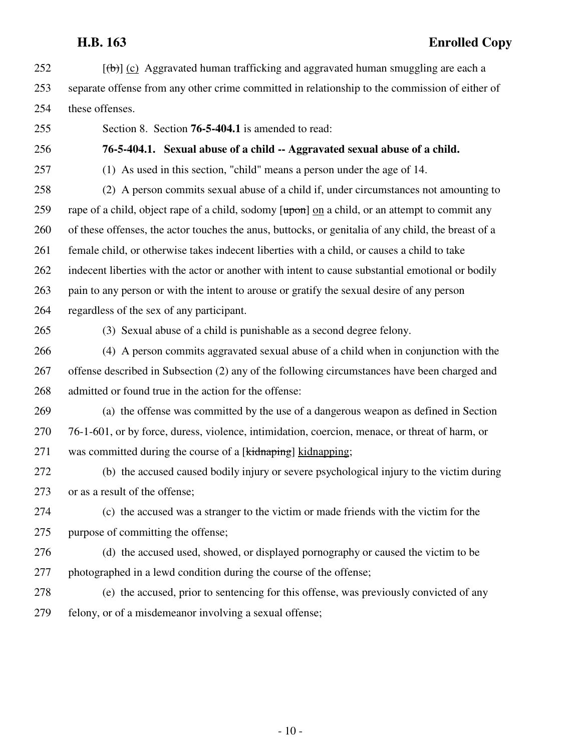- $252$  [(b)] (c) Aggravated human trafficking and aggravated human smuggling are each a 253 separate offense from any other crime committed in relationship to the commission of either of 254 these offenses.
- 

255 Section 8. Section **76-5-404.1** is amended to read:

256 **76-5-404.1. Sexual abuse of a child -- Aggravated sexual abuse of a child.**

257 (1) As used in this section, "child" means a person under the age of 14.

258 (2) A person commits sexual abuse of a child if, under circumstances not amounting to 259 rape of a child, object rape of a child, sodomy [upon] on a child, or an attempt to commit any 260 of these offenses, the actor touches the anus, buttocks, or genitalia of any child, the breast of a 261 female child, or otherwise takes indecent liberties with a child, or causes a child to take 262 indecent liberties with the actor or another with intent to cause substantial emotional or bodily 263 pain to any person or with the intent to arouse or gratify the sexual desire of any person 264 regardless of the sex of any participant.

265 (3) Sexual abuse of a child is punishable as a second degree felony.

266 (4) A person commits aggravated sexual abuse of a child when in conjunction with the 267 offense described in Subsection (2) any of the following circumstances have been charged and 268 admitted or found true in the action for the offense:

269 (a) the offense was committed by the use of a dangerous weapon as defined in Section 270 76-1-601, or by force, duress, violence, intimidation, coercion, menace, or threat of harm, or 271 was committed during the course of a [kidnaping] kidnapping;

272 (b) the accused caused bodily injury or severe psychological injury to the victim during 273 or as a result of the offense;

274 (c) the accused was a stranger to the victim or made friends with the victim for the 275 purpose of committing the offense;

276 (d) the accused used, showed, or displayed pornography or caused the victim to be 277 photographed in a lewd condition during the course of the offense;

278 (e) the accused, prior to sentencing for this offense, was previously convicted of any 279 felony, or of a misdemeanor involving a sexual offense;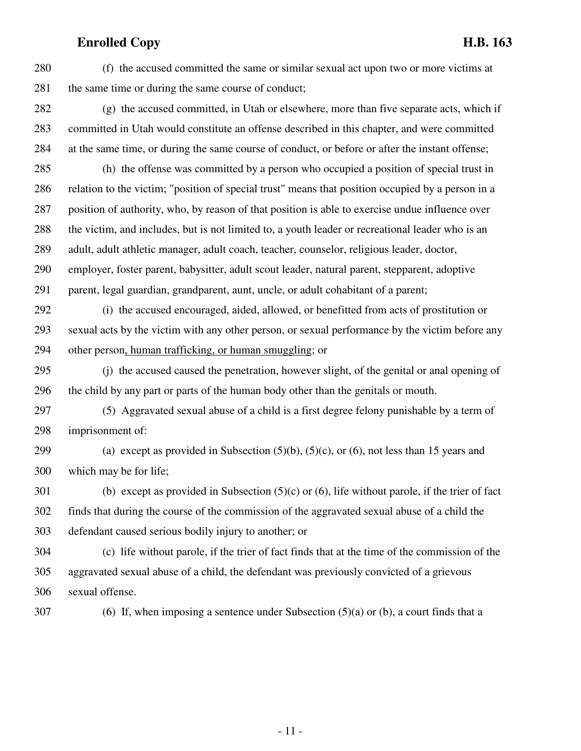280 (f) the accused committed the same or similar sexual act upon two or more victims at 281 the same time or during the same course of conduct;

282 (g) the accused committed, in Utah or elsewhere, more than five separate acts, which if 283 committed in Utah would constitute an offense described in this chapter, and were committed 284 at the same time, or during the same course of conduct, or before or after the instant offense;

285 (h) the offense was committed by a person who occupied a position of special trust in 286 relation to the victim; "position of special trust" means that position occupied by a person in a 287 position of authority, who, by reason of that position is able to exercise undue influence over 288 the victim, and includes, but is not limited to, a youth leader or recreational leader who is an 289 adult, adult athletic manager, adult coach, teacher, counselor, religious leader, doctor, 290 employer, foster parent, babysitter, adult scout leader, natural parent, stepparent, adoptive 291 parent, legal guardian, grandparent, aunt, uncle, or adult cohabitant of a parent;

292 (i) the accused encouraged, aided, allowed, or benefitted from acts of prostitution or 293 sexual acts by the victim with any other person, or sexual performance by the victim before any

294 other person, human trafficking, or human smuggling; or

295 (j) the accused caused the penetration, however slight, of the genital or anal opening of 296 the child by any part or parts of the human body other than the genitals or mouth.

297 (5) Aggravated sexual abuse of a child is a first degree felony punishable by a term of 298 imprisonment of:

299 (a) except as provided in Subsection  $(5)(b)$ ,  $(5)(c)$ , or  $(6)$ , not less than 15 years and 300 which may be for life;

301 (b) except as provided in Subsection (5)(c) or (6), life without parole, if the trier of fact 302 finds that during the course of the commission of the aggravated sexual abuse of a child the 303 defendant caused serious bodily injury to another; or

304 (c) life without parole, if the trier of fact finds that at the time of the commission of the 305 aggravated sexual abuse of a child, the defendant was previously convicted of a grievous 306 sexual offense.

 $307$  (6) If, when imposing a sentence under Subsection (5)(a) or (b), a court finds that a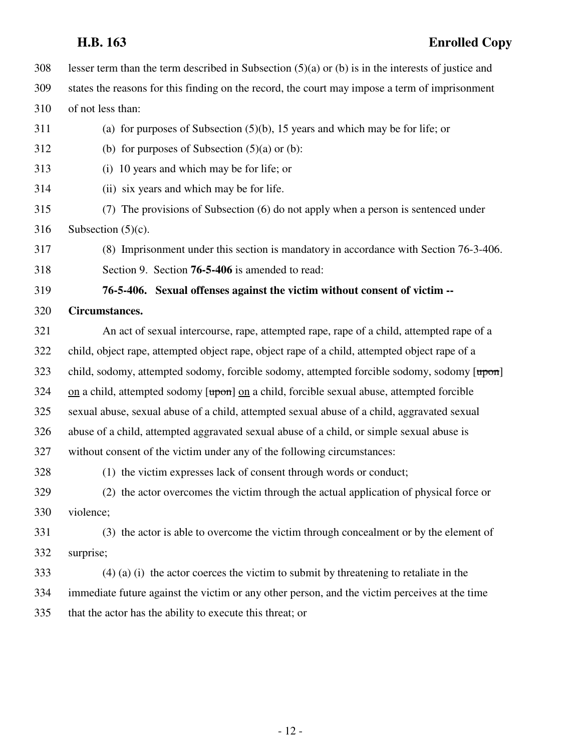|     | H.B. 163<br><b>Enrolled Copy</b>                                                                            |
|-----|-------------------------------------------------------------------------------------------------------------|
| 308 | lesser term than the term described in Subsection $(5)(a)$ or (b) is in the interests of justice and        |
| 309 | states the reasons for this finding on the record, the court may impose a term of imprisonment              |
| 310 | of not less than:                                                                                           |
| 311 | (a) for purposes of Subsection $(5)(b)$ , 15 years and which may be for life; or                            |
| 312 | (b) for purposes of Subsection $(5)(a)$ or $(b)$ :                                                          |
| 313 | (i) 10 years and which may be for life; or                                                                  |
| 314 | (ii) six years and which may be for life.                                                                   |
| 315 | (7) The provisions of Subsection (6) do not apply when a person is sentenced under                          |
| 316 | Subsection $(5)(c)$ .                                                                                       |
| 317 | (8) Imprisonment under this section is mandatory in accordance with Section 76-3-406.                       |
| 318 | Section 9. Section 76-5-406 is amended to read:                                                             |
| 319 | 76-5-406. Sexual offenses against the victim without consent of victim --                                   |
| 320 | Circumstances.                                                                                              |
| 321 | An act of sexual intercourse, rape, attempted rape, rape of a child, attempted rape of a                    |
| 322 | child, object rape, attempted object rape, object rape of a child, attempted object rape of a               |
| 323 | child, sodomy, attempted sodomy, forcible sodomy, attempted forcible sodomy, sodomy [upon]                  |
| 324 | $\alpha$ a child, attempted sodomy [ $\alpha$ ] $\alpha$ a child, forcible sexual abuse, attempted forcible |
| 325 | sexual abuse, sexual abuse of a child, attempted sexual abuse of a child, aggravated sexual                 |
| 326 | abuse of a child, attempted aggravated sexual abuse of a child, or simple sexual abuse is                   |
| 327 | without consent of the victim under any of the following circumstances:                                     |
| 328 | (1) the victim expresses lack of consent through words or conduct;                                          |
| 329 | (2) the actor overcomes the victim through the actual application of physical force or                      |
| 330 | violence;                                                                                                   |
| 331 | (3) the actor is able to overcome the victim through concealment or by the element of                       |
| 332 | surprise;                                                                                                   |
| 333 | $(4)$ (a) (i) the actor coerces the victim to submit by threatening to retaliate in the                     |
| 334 | immediate future against the victim or any other person, and the victim perceives at the time               |
| 335 | that the actor has the ability to execute this threat; or                                                   |
|     |                                                                                                             |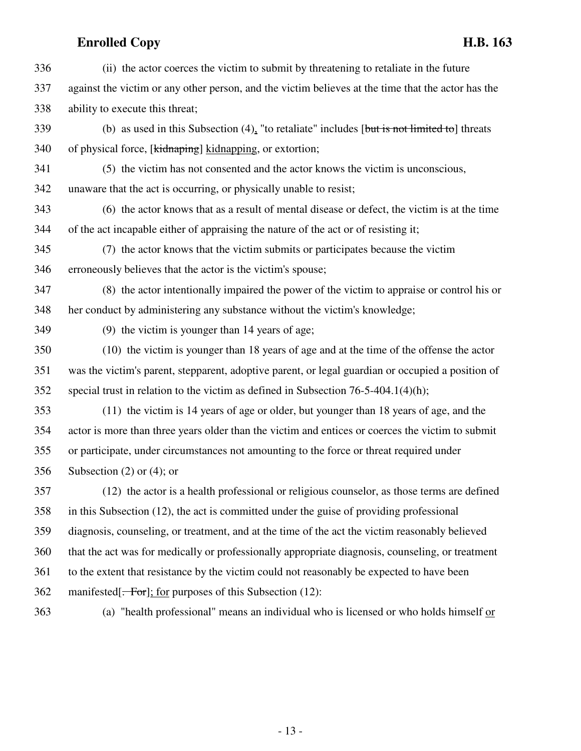- 336 (ii) the actor coerces the victim to submit by threatening to retaliate in the future 337 against the victim or any other person, and the victim believes at the time that the actor has the 338 ability to execute this threat;
- 339 (b) as used in this Subsection (4), "to retaliate" includes [but is not limited to] threats 340 of physical force, [kidnaping] kidnapping, or extortion;
- 341 (5) the victim has not consented and the actor knows the victim is unconscious,
- 342 unaware that the act is occurring, or physically unable to resist;
- 343 (6) the actor knows that as a result of mental disease or defect, the victim is at the time 344 of the act incapable either of appraising the nature of the act or of resisting it;
- 345 (7) the actor knows that the victim submits or participates because the victim 346 erroneously believes that the actor is the victim's spouse;
- 347 (8) the actor intentionally impaired the power of the victim to appraise or control his or 348 her conduct by administering any substance without the victim's knowledge;
- 
- 349 (9) the victim is younger than 14 years of age;
- 350 (10) the victim is younger than 18 years of age and at the time of the offense the actor 351 was the victim's parent, stepparent, adoptive parent, or legal guardian or occupied a position of 352 special trust in relation to the victim as defined in Subsection 76-5-404.1(4)(h);
- 353 (11) the victim is 14 years of age or older, but younger than 18 years of age, and the 354 actor is more than three years older than the victim and entices or coerces the victim to submit 355 or participate, under circumstances not amounting to the force or threat required under
- 356 Subsection (2) or (4); or
- 357 (12) the actor is a health professional or religious counselor, as those terms are defined 358 in this Subsection (12), the act is committed under the guise of providing professional 359 diagnosis, counseling, or treatment, and at the time of the act the victim reasonably believed 360 that the act was for medically or professionally appropriate diagnosis, counseling, or treatment 361 to the extent that resistance by the victim could not reasonably be expected to have been 362 manifested. For : for purposes of this Subsection (12):
- 
- 363 (a) "health professional" means an individual who is licensed or who holds himself or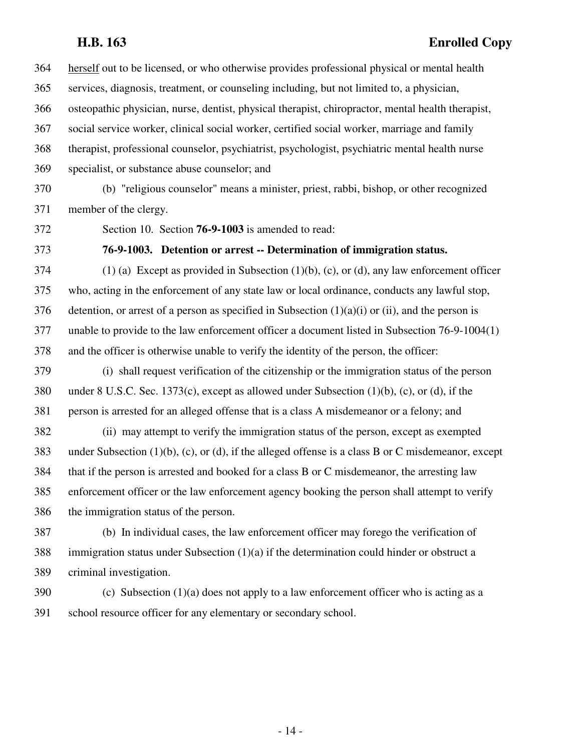364 herself out to be licensed, or who otherwise provides professional physical or mental health 365 services, diagnosis, treatment, or counseling including, but not limited to, a physician, 366 osteopathic physician, nurse, dentist, physical therapist, chiropractor, mental health therapist, 367 social service worker, clinical social worker, certified social worker, marriage and family 368 therapist, professional counselor, psychiatrist, psychologist, psychiatric mental health nurse 369 specialist, or substance abuse counselor; and

370 (b) "religious counselor" means a minister, priest, rabbi, bishop, or other recognized 371 member of the clergy.

372 Section 10. Section **76-9-1003** is amended to read:

373 **76-9-1003. Detention or arrest -- Determination of immigration status.**

 $374$  (1) (a) Except as provided in Subsection (1)(b), (c), or (d), any law enforcement officer 375 who, acting in the enforcement of any state law or local ordinance, conducts any lawful stop, 376 detention, or arrest of a person as specified in Subsection  $(1)(a)(i)$  or  $(ii)$ , and the person is 377 unable to provide to the law enforcement officer a document listed in Subsection 76-9-1004(1) 378 and the officer is otherwise unable to verify the identity of the person, the officer:

379 (i) shall request verification of the citizenship or the immigration status of the person 380 under 8 U.S.C. Sec. 1373(c), except as allowed under Subsection (1)(b), (c), or (d), if the 381 person is arrested for an alleged offense that is a class A misdemeanor or a felony; and

382 (ii) may attempt to verify the immigration status of the person, except as exempted 383 under Subsection (1)(b), (c), or (d), if the alleged offense is a class B or C misdemeanor, except 384 that if the person is arrested and booked for a class B or C misdemeanor, the arresting law 385 enforcement officer or the law enforcement agency booking the person shall attempt to verify 386 the immigration status of the person.

387 (b) In individual cases, the law enforcement officer may forego the verification of 388 immigration status under Subsection (1)(a) if the determination could hinder or obstruct a 389 criminal investigation.

 $390$  (c) Subsection (1)(a) does not apply to a law enforcement officer who is acting as a 391 school resource officer for any elementary or secondary school.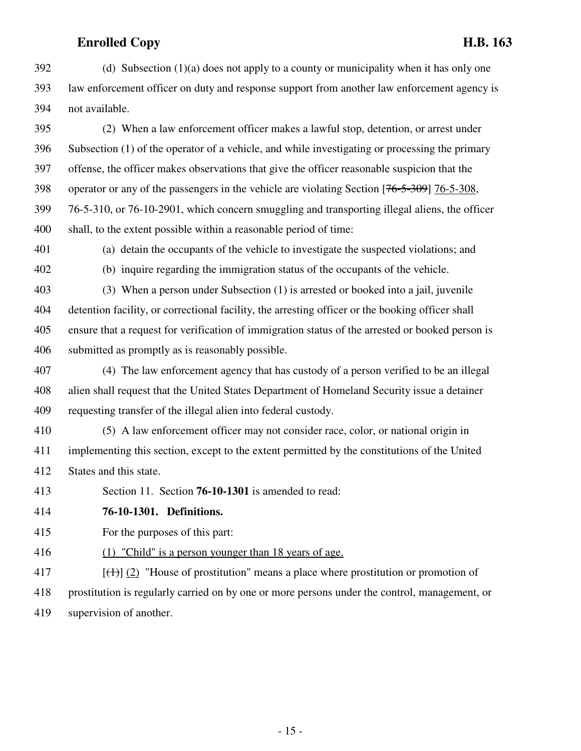$392$  (d) Subsection (1)(a) does not apply to a county or municipality when it has only one 393 law enforcement officer on duty and response support from another law enforcement agency is 394 not available.

395 (2) When a law enforcement officer makes a lawful stop, detention, or arrest under 396 Subsection (1) of the operator of a vehicle, and while investigating or processing the primary 397 offense, the officer makes observations that give the officer reasonable suspicion that the 398 operator or any of the passengers in the vehicle are violating Section [76-5-309] 76-5-308, 399 76-5-310, or 76-10-2901, which concern smuggling and transporting illegal aliens, the officer 400 shall, to the extent possible within a reasonable period of time:

401 (a) detain the occupants of the vehicle to investigate the suspected violations; and

402 (b) inquire regarding the immigration status of the occupants of the vehicle.

403 (3) When a person under Subsection (1) is arrested or booked into a jail, juvenile 404 detention facility, or correctional facility, the arresting officer or the booking officer shall 405 ensure that a request for verification of immigration status of the arrested or booked person is 406 submitted as promptly as is reasonably possible.

407 (4) The law enforcement agency that has custody of a person verified to be an illegal 408 alien shall request that the United States Department of Homeland Security issue a detainer 409 requesting transfer of the illegal alien into federal custody.

410 (5) A law enforcement officer may not consider race, color, or national origin in 411 implementing this section, except to the extent permitted by the constitutions of the United 412 States and this state.

413 Section 11. Section **76-10-1301** is amended to read:

414 **76-10-1301. Definitions.**

415 For the purposes of this part:

416 (1) "Child" is a person younger than 18 years of age.

417  $\left[\left(\frac{1}{1}\right)\right]$  (2) "House of prostitution" means a place where prostitution or promotion of 418 prostitution is regularly carried on by one or more persons under the control, management, or 419 supervision of another.

- 15 -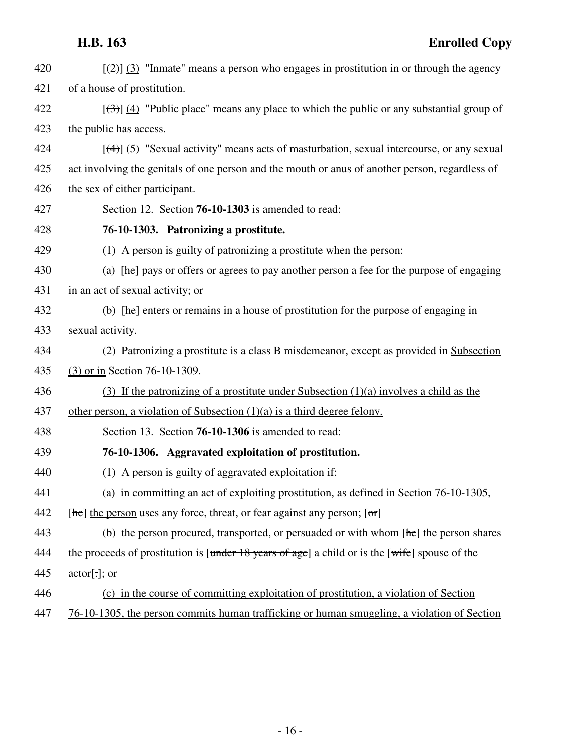| 420 | $[\frac{1}{2}]$ (3) "Inmate" means a person who engages in prostitution in or through the agency    |
|-----|-----------------------------------------------------------------------------------------------------|
| 421 | of a house of prostitution.                                                                         |
| 422 | $[\frac{1}{2}]$ (4) "Public place" means any place to which the public or any substantial group of  |
| 423 | the public has access.                                                                              |
| 424 | $[\frac{4}{3}]$ (5) "Sexual activity" means acts of masturbation, sexual intercourse, or any sexual |
| 425 | act involving the genitals of one person and the mouth or anus of another person, regardless of     |
| 426 | the sex of either participant.                                                                      |
| 427 | Section 12. Section <b>76-10-1303</b> is amended to read:                                           |
| 428 | 76-10-1303. Patronizing a prostitute.                                                               |
| 429 | (1) A person is guilty of patronizing a prostitute when the person:                                 |
| 430 | (a) $[\text{he}]$ pays or offers or agrees to pay another person a fee for the purpose of engaging  |
| 431 | in an act of sexual activity; or                                                                    |
| 432 | (b) $[he]$ enters or remains in a house of prostitution for the purpose of engaging in              |
| 433 | sexual activity.                                                                                    |
| 434 | (2) Patronizing a prostitute is a class B misdemeanor, except as provided in Subsection             |
| 435 | (3) or in Section 76-10-1309.                                                                       |
| 436 | (3) If the patronizing of a prostitute under Subsection $(1)(a)$ involves a child as the            |
| 437 | other person, a violation of Subsection $(1)(a)$ is a third degree felony.                          |
| 438 | Section 13. Section 76-10-1306 is amended to read:                                                  |
| 439 | 76-10-1306. Aggravated exploitation of prostitution.                                                |
| 440 | (1) A person is guilty of aggravated exploitation if:                                               |
| 441 | (a) in committing an act of exploiting prostitution, as defined in Section 76-10-1305,              |
| 442 | $[he]$ the person uses any force, threat, or fear against any person; $[or]$                        |
| 443 | (b) the person procured, transported, or persuaded or with whom $[he]$ the person shares            |
| 444 | the proceeds of prostitution is [under 18 years of age] a child or is the [wife] spouse of the      |
| 445 | $actor[\cdot]$ ; or                                                                                 |
| 446 | (c) in the course of committing exploitation of prostitution, a violation of Section                |
| 447 | 76-10-1305, the person commits human trafficking or human smuggling, a violation of Section         |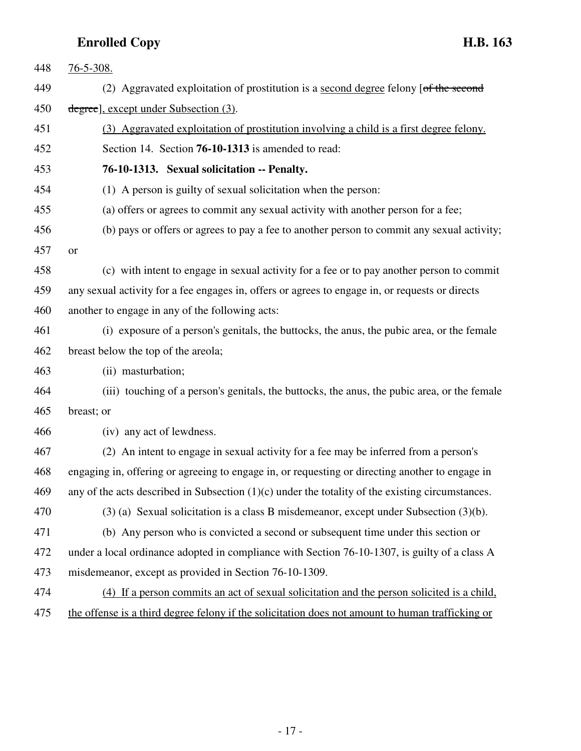| 448 | $76 - 5 - 308$ .                                                                                   |
|-----|----------------------------------------------------------------------------------------------------|
| 449 | (2) Aggravated exploitation of prostitution is a second degree felony [of the second               |
| 450 | degree], except under Subsection (3).                                                              |
| 451 | (3) Aggravated exploitation of prostitution involving a child is a first degree felony.            |
| 452 | Section 14. Section <b>76-10-1313</b> is amended to read:                                          |
| 453 | 76-10-1313. Sexual solicitation -- Penalty.                                                        |
| 454 | (1) A person is guilty of sexual solicitation when the person:                                     |
| 455 | (a) offers or agrees to commit any sexual activity with another person for a fee;                  |
| 456 | (b) pays or offers or agrees to pay a fee to another person to commit any sexual activity;         |
| 457 | <b>or</b>                                                                                          |
| 458 | (c) with intent to engage in sexual activity for a fee or to pay another person to commit          |
| 459 | any sexual activity for a fee engages in, offers or agrees to engage in, or requests or directs    |
| 460 | another to engage in any of the following acts:                                                    |
| 461 | (i) exposure of a person's genitals, the buttocks, the anus, the pubic area, or the female         |
| 462 | breast below the top of the areola;                                                                |
| 463 | (ii) masturbation;                                                                                 |
| 464 | (iii) touching of a person's genitals, the buttocks, the anus, the pubic area, or the female       |
| 465 | breast; or                                                                                         |
| 466 | (iv) any act of lewdness.                                                                          |
| 467 | (2) An intent to engage in sexual activity for a fee may be inferred from a person's               |
| 468 | engaging in, offering or agreeing to engage in, or requesting or directing another to engage in    |
| 469 | any of the acts described in Subsection $(1)(c)$ under the totality of the existing circumstances. |
| 470 | $(3)$ (a) Sexual solicitation is a class B misdemeanor, except under Subsection $(3)(b)$ .         |
| 471 | (b) Any person who is convicted a second or subsequent time under this section or                  |
| 472 | under a local ordinance adopted in compliance with Section 76-10-1307, is guilty of a class A      |
| 473 | misdemeanor, except as provided in Section 76-10-1309.                                             |
| 474 | (4) If a person commits an act of sexual solicitation and the person solicited is a child,         |
| 475 | the offense is a third degree felony if the solicitation does not amount to human trafficking or   |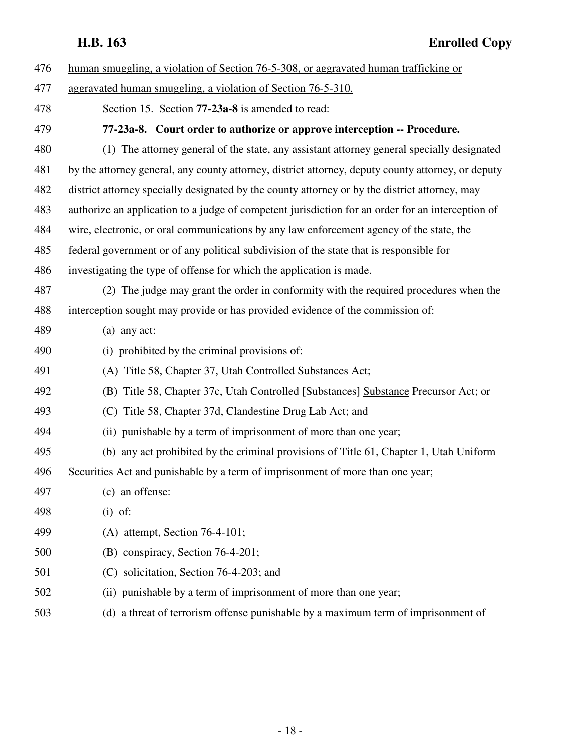| 476 | human smuggling, a violation of Section 76-5-308, or aggravated human trafficking or               |
|-----|----------------------------------------------------------------------------------------------------|
| 477 | aggravated human smuggling, a violation of Section 76-5-310.                                       |
| 478 | Section 15. Section <b>77-23a-8</b> is amended to read:                                            |
| 479 | 77-23a-8. Court order to authorize or approve interception -- Procedure.                           |
| 480 | (1) The attorney general of the state, any assistant attorney general specially designated         |
| 481 | by the attorney general, any county attorney, district attorney, deputy county attorney, or deputy |
| 482 | district attorney specially designated by the county attorney or by the district attorney, may     |
| 483 | authorize an application to a judge of competent jurisdiction for an order for an interception of  |
| 484 | wire, electronic, or oral communications by any law enforcement agency of the state, the           |
| 485 | federal government or of any political subdivision of the state that is responsible for            |
| 486 | investigating the type of offense for which the application is made.                               |
| 487 | (2) The judge may grant the order in conformity with the required procedures when the              |
| 488 | interception sought may provide or has provided evidence of the commission of:                     |
| 489 | $(a)$ any act:                                                                                     |
| 490 | (i) prohibited by the criminal provisions of:                                                      |
| 491 | (A) Title 58, Chapter 37, Utah Controlled Substances Act;                                          |
| 492 | (B) Title 58, Chapter 37c, Utah Controlled [Substances] Substance Precursor Act; or                |
| 493 | (C) Title 58, Chapter 37d, Clandestine Drug Lab Act; and                                           |
| 494 | (ii) punishable by a term of imprisonment of more than one year;                                   |
| 495 | (b) any act prohibited by the criminal provisions of Title 61, Chapter 1, Utah Uniform             |
| 496 | Securities Act and punishable by a term of imprisonment of more than one year;                     |
| 497 | (c) an offense:                                                                                    |
| 498 | $(i)$ of:                                                                                          |
| 499 | $(A)$ attempt, Section 76-4-101;                                                                   |
| 500 | (B) conspiracy, Section 76-4-201;                                                                  |
| 501 | (C) solicitation, Section 76-4-203; and                                                            |
| 502 | (ii) punishable by a term of imprisonment of more than one year;                                   |
| 503 | (d) a threat of terrorism offense punishable by a maximum term of imprisonment of                  |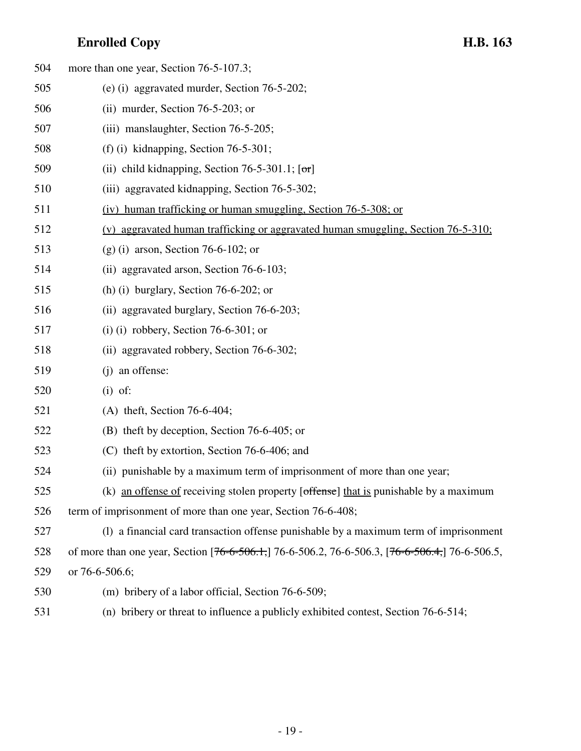| 504 | more than one year, Section 76-5-107.3;                                                        |
|-----|------------------------------------------------------------------------------------------------|
| 505 | (e) (i) aggravated murder, Section $76-5-202$ ;                                                |
| 506 | (ii) murder, Section $76-5-203$ ; or                                                           |
| 507 | (iii) manslaughter, Section 76-5-205;                                                          |
| 508 | (f) (i) kidnapping, Section $76-5-301$ ;                                                       |
| 509 | (ii) child kidnapping, Section 76-5-301.1; $[\sigma r]$                                        |
| 510 | (iii) aggravated kidnapping, Section 76-5-302;                                                 |
| 511 | (iv) human trafficking or human smuggling, Section 76-5-308; or                                |
| 512 | (v) aggravated human trafficking or aggravated human smuggling, Section 76-5-310;              |
| 513 | $(g)$ (i) arson, Section 76-6-102; or                                                          |
| 514 | (ii) aggravated arson, Section 76-6-103;                                                       |
| 515 | (h) (i) burglary, Section $76-6-202$ ; or                                                      |
| 516 | (ii) aggravated burglary, Section 76-6-203;                                                    |
| 517 | (i) (i) robbery, Section 76-6-301; or                                                          |
| 518 | (ii) aggravated robbery, Section 76-6-302;                                                     |
| 519 | (j) an offense:                                                                                |
| 520 | $(i)$ of:                                                                                      |
| 521 | (A) theft, Section $76-6-404$ ;                                                                |
| 522 | (B) theft by deception, Section 76-6-405; or                                                   |
| 523 | (C) theft by extortion, Section 76-6-406; and                                                  |
| 524 | (ii) punishable by a maximum term of imprisonment of more than one year;                       |
| 525 | (k) an offense of receiving stolen property [offense] that is punishable by a maximum          |
| 526 | term of imprisonment of more than one year, Section 76-6-408;                                  |
| 527 | (1) a financial card transaction offense punishable by a maximum term of imprisonment          |
| 528 | of more than one year, Section [76-6-506.1,] 76-6-506.2, 76-6-506.3, [76-6-506.4,] 76-6-506.5, |
| 529 | or 76-6-506.6;                                                                                 |
| 530 | (m) bribery of a labor official, Section 76-6-509;                                             |
| 531 | (n) bribery or threat to influence a publicly exhibited contest, Section 76-6-514;             |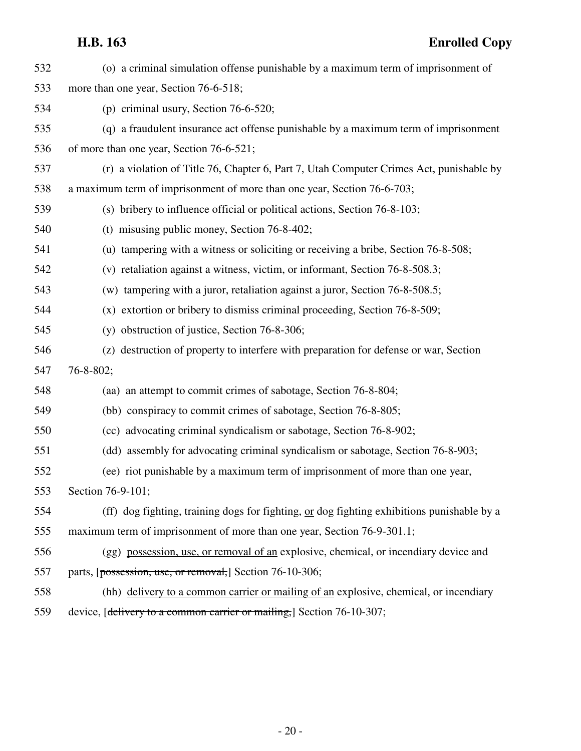| 532 | (o) a criminal simulation offense punishable by a maximum term of imprisonment of          |
|-----|--------------------------------------------------------------------------------------------|
| 533 | more than one year, Section 76-6-518;                                                      |
| 534 | (p) criminal usury, Section $76-6-520$ ;                                                   |
| 535 | (q) a fraudulent insurance act offense punishable by a maximum term of imprisonment        |
| 536 | of more than one year, Section 76-6-521;                                                   |
| 537 | (r) a violation of Title 76, Chapter 6, Part 7, Utah Computer Crimes Act, punishable by    |
| 538 | a maximum term of imprisonment of more than one year, Section 76-6-703;                    |
| 539 | (s) bribery to influence official or political actions, Section 76-8-103;                  |
| 540 | (t) misusing public money, Section 76-8-402;                                               |
| 541 | (u) tampering with a witness or soliciting or receiving a bribe, Section 76-8-508;         |
| 542 | (v) retaliation against a witness, victim, or informant, Section 76-8-508.3;               |
| 543 | (w) tampering with a juror, retaliation against a juror, Section 76-8-508.5;               |
| 544 | (x) extortion or bribery to dismiss criminal proceeding, Section 76-8-509;                 |
| 545 | (y) obstruction of justice, Section 76-8-306;                                              |
| 546 | (z) destruction of property to interfere with preparation for defense or war, Section      |
| 547 | $76 - 8 - 802$ ;                                                                           |
| 548 | (aa) an attempt to commit crimes of sabotage, Section 76-8-804;                            |
| 549 | (bb) conspiracy to commit crimes of sabotage, Section 76-8-805;                            |
| 550 | (cc) advocating criminal syndicalism or sabotage, Section 76-8-902;                        |
| 551 | (dd) assembly for advocating criminal syndicalism or sabotage, Section 76-8-903;           |
| 552 | (ee) riot punishable by a maximum term of imprisonment of more than one year,              |
| 553 | Section 76-9-101;                                                                          |
| 554 | (ff) dog fighting, training dogs for fighting, or dog fighting exhibitions punishable by a |
| 555 | maximum term of imprisonment of more than one year, Section 76-9-301.1;                    |
| 556 | (gg) possession, use, or removal of an explosive, chemical, or incendiary device and       |
| 557 | parts, [possession, use, or removal,] Section 76-10-306;                                   |
| 558 | (hh) delivery to a common carrier or mailing of an explosive, chemical, or incendiary      |
| 559 | device, [delivery to a common carrier or mailing,] Section 76-10-307;                      |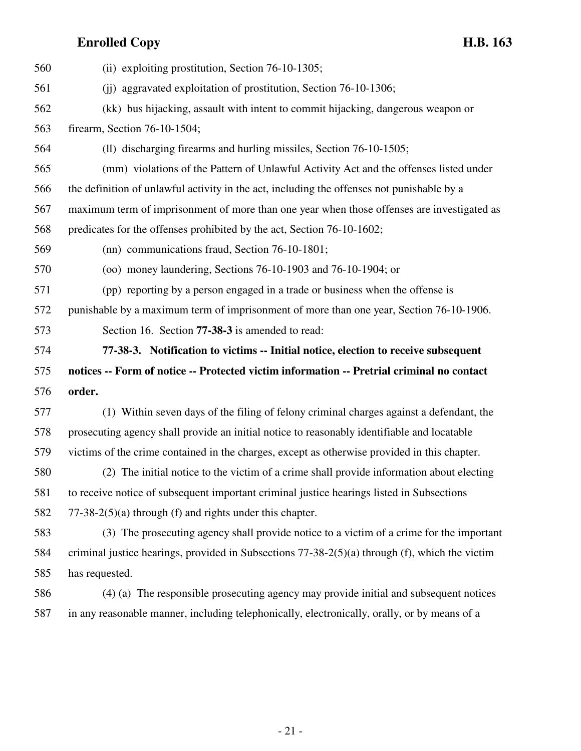| 560 | (ii) exploiting prostitution, Section 76-10-1305;                                                   |
|-----|-----------------------------------------------------------------------------------------------------|
| 561 | (ii) aggravated exploitation of prostitution, Section 76-10-1306;                                   |
| 562 | (kk) bus hijacking, assault with intent to commit hijacking, dangerous weapon or                    |
| 563 | firearm, Section 76-10-1504;                                                                        |
| 564 | (ll) discharging firearms and hurling missiles, Section 76-10-1505;                                 |
| 565 | (mm) violations of the Pattern of Unlawful Activity Act and the offenses listed under               |
| 566 | the definition of unlawful activity in the act, including the offenses not punishable by a          |
| 567 | maximum term of imprisonment of more than one year when those offenses are investigated as          |
| 568 | predicates for the offenses prohibited by the act, Section 76-10-1602;                              |
| 569 | (nn) communications fraud, Section 76-10-1801;                                                      |
| 570 | $(00)$ money laundering, Sections 76-10-1903 and 76-10-1904; or                                     |
| 571 | (pp) reporting by a person engaged in a trade or business when the offense is                       |
| 572 | punishable by a maximum term of imprisonment of more than one year, Section 76-10-1906.             |
| 573 | Section 16. Section 77-38-3 is amended to read:                                                     |
|     |                                                                                                     |
| 574 | 77-38-3. Notification to victims -- Initial notice, election to receive subsequent                  |
| 575 | notices -- Form of notice -- Protected victim information -- Pretrial criminal no contact           |
| 576 | order.                                                                                              |
| 577 | (1) Within seven days of the filing of felony criminal charges against a defendant, the             |
| 578 | prosecuting agency shall provide an initial notice to reasonably identifiable and locatable         |
| 579 | victims of the crime contained in the charges, except as otherwise provided in this chapter.        |
| 580 | (2) The initial notice to the victim of a crime shall provide information about electing            |
| 581 | to receive notice of subsequent important criminal justice hearings listed in Subsections           |
| 582 | $77-38-2(5)(a)$ through (f) and rights under this chapter.                                          |
| 583 | (3) The prosecuting agency shall provide notice to a victim of a crime for the important            |
| 584 | criminal justice hearings, provided in Subsections $77-38-2(5)(a)$ through $(f)$ , which the victim |
| 585 | has requested.                                                                                      |
| 586 | (4) (a) The responsible prosecuting agency may provide initial and subsequent notices               |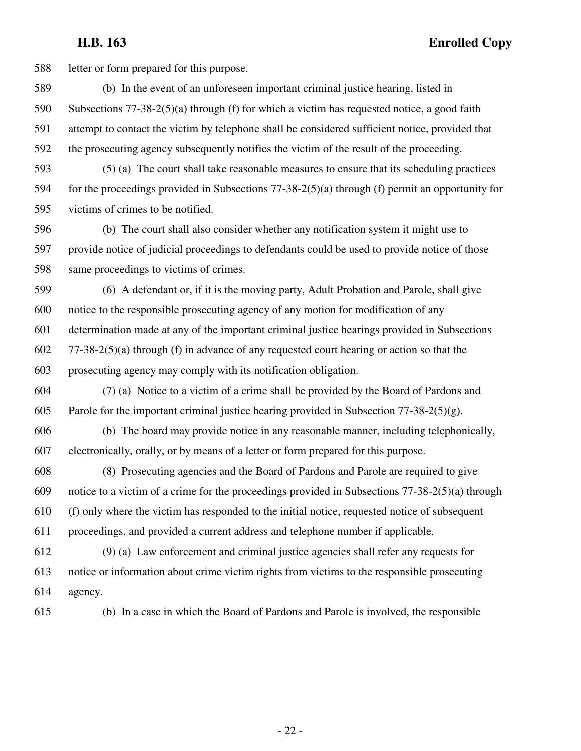588 letter or form prepared for this purpose.

589 (b) In the event of an unforeseen important criminal justice hearing, listed in 590 Subsections 77-38-2(5)(a) through (f) for which a victim has requested notice, a good faith 591 attempt to contact the victim by telephone shall be considered sufficient notice, provided that 592 the prosecuting agency subsequently notifies the victim of the result of the proceeding.

593 (5) (a) The court shall take reasonable measures to ensure that its scheduling practices 594 for the proceedings provided in Subsections 77-38-2(5)(a) through (f) permit an opportunity for 595 victims of crimes to be notified.

596 (b) The court shall also consider whether any notification system it might use to 597 provide notice of judicial proceedings to defendants could be used to provide notice of those 598 same proceedings to victims of crimes.

599 (6) A defendant or, if it is the moving party, Adult Probation and Parole, shall give 600 notice to the responsible prosecuting agency of any motion for modification of any 601 determination made at any of the important criminal justice hearings provided in Subsections 602 77-38-2(5)(a) through (f) in advance of any requested court hearing or action so that the 603 prosecuting agency may comply with its notification obligation.

604 (7) (a) Notice to a victim of a crime shall be provided by the Board of Pardons and 605 Parole for the important criminal justice hearing provided in Subsection  $77-38-2(5)(g)$ .

606 (b) The board may provide notice in any reasonable manner, including telephonically, 607 electronically, orally, or by means of a letter or form prepared for this purpose.

608 (8) Prosecuting agencies and the Board of Pardons and Parole are required to give 609 notice to a victim of a crime for the proceedings provided in Subsections 77-38-2(5)(a) through 610 (f) only where the victim has responded to the initial notice, requested notice of subsequent 611 proceedings, and provided a current address and telephone number if applicable.

612 (9) (a) Law enforcement and criminal justice agencies shall refer any requests for 613 notice or information about crime victim rights from victims to the responsible prosecuting 614 agency.

615 (b) In a case in which the Board of Pardons and Parole is involved, the responsible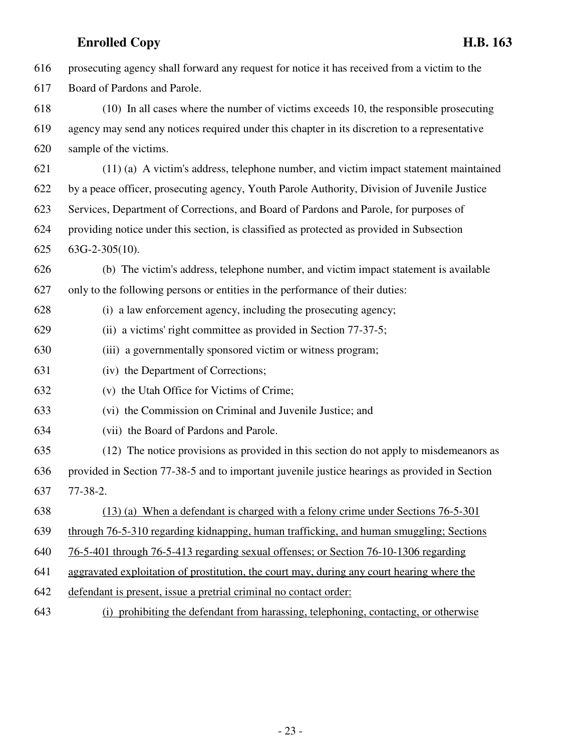| 616 | prosecuting agency shall forward any request for notice it has received from a victim to the  |
|-----|-----------------------------------------------------------------------------------------------|
| 617 | Board of Pardons and Parole.                                                                  |
| 618 | (10) In all cases where the number of victims exceeds 10, the responsible prosecuting         |
| 619 | agency may send any notices required under this chapter in its discretion to a representative |
| 620 | sample of the victims.                                                                        |
| 621 | (11) (a) A victim's address, telephone number, and victim impact statement maintained         |
| 622 | by a peace officer, prosecuting agency, Youth Parole Authority, Division of Juvenile Justice  |
| 623 | Services, Department of Corrections, and Board of Pardons and Parole, for purposes of         |
| 624 | providing notice under this section, is classified as protected as provided in Subsection     |
| 625 | $63G-2-305(10)$ .                                                                             |
| 626 | (b) The victim's address, telephone number, and victim impact statement is available          |
| 627 | only to the following persons or entities in the performance of their duties:                 |
| 628 | (i) a law enforcement agency, including the prosecuting agency;                               |
| 629 | (ii) a victims' right committee as provided in Section 77-37-5;                               |
| 630 | (iii) a governmentally sponsored victim or witness program;                                   |
| 631 | (iv) the Department of Corrections;                                                           |
| 632 | (v) the Utah Office for Victims of Crime;                                                     |
| 633 | (vi) the Commission on Criminal and Juvenile Justice; and                                     |
| 634 | (vii) the Board of Pardons and Parole.                                                        |
| 635 | (12) The notice provisions as provided in this section do not apply to misdemeanors as        |
| 636 | provided in Section 77-38-5 and to important juvenile justice hearings as provided in Section |
| 637 | $77-38-2.$                                                                                    |
| 638 | (13) (a) When a defendant is charged with a felony crime under Sections 76-5-301              |
| 639 | through 76-5-310 regarding kidnapping, human trafficking, and human smuggling; Sections       |
| 640 | 76-5-401 through 76-5-413 regarding sexual offenses; or Section 76-10-1306 regarding          |
| 641 | aggravated exploitation of prostitution, the court may, during any court hearing where the    |
| 642 | defendant is present, issue a pretrial criminal no contact order:                             |
| 643 | (i) prohibiting the defendant from harassing, telephoning, contacting, or otherwise           |

- 23 -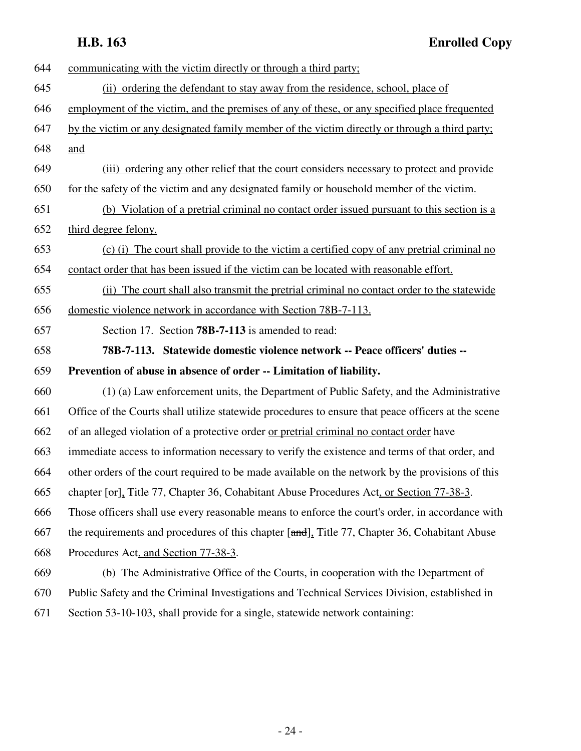| 644 | communicating with the victim directly or through a third party;                                   |
|-----|----------------------------------------------------------------------------------------------------|
| 645 | (ii) ordering the defendant to stay away from the residence, school, place of                      |
| 646 | employment of the victim, and the premises of any of these, or any specified place frequented      |
| 647 | by the victim or any designated family member of the victim directly or through a third party;     |
| 648 | and                                                                                                |
| 649 | (iii) ordering any other relief that the court considers necessary to protect and provide          |
| 650 | for the safety of the victim and any designated family or household member of the victim.          |
| 651 | (b) Violation of a pretrial criminal no contact order issued pursuant to this section is a         |
| 652 | third degree felony.                                                                               |
| 653 | (c) (i) The court shall provide to the victim a certified copy of any pretrial criminal no         |
| 654 | contact order that has been issued if the victim can be located with reasonable effort.            |
| 655 | The court shall also transmit the pretrial criminal no contact order to the statewide<br>(i)       |
| 656 | domestic violence network in accordance with Section 78B-7-113.                                    |
| 657 | Section 17. Section 78B-7-113 is amended to read:                                                  |
|     |                                                                                                    |
| 658 | 78B-7-113. Statewide domestic violence network -- Peace officers' duties --                        |
| 659 | Prevention of abuse in absence of order -- Limitation of liability.                                |
| 660 | (1) (a) Law enforcement units, the Department of Public Safety, and the Administrative             |
| 661 | Office of the Courts shall utilize statewide procedures to ensure that peace officers at the scene |
| 662 | of an alleged violation of a protective order or pretrial criminal no contact order have           |
| 663 | immediate access to information necessary to verify the existence and terms of that order, and     |
| 664 | other orders of the court required to be made available on the network by the provisions of this   |
| 665 | chapter [or]. Title 77, Chapter 36, Cohabitant Abuse Procedures Act, or Section 77-38-3.           |
| 666 | Those officers shall use every reasonable means to enforce the court's order, in accordance with   |
| 667 | the requirements and procedures of this chapter [and], Title 77, Chapter 36, Cohabitant Abuse      |
| 668 | Procedures Act, and Section 77-38-3.                                                               |
| 669 | (b) The Administrative Office of the Courts, in cooperation with the Department of                 |
| 670 | Public Safety and the Criminal Investigations and Technical Services Division, established in      |